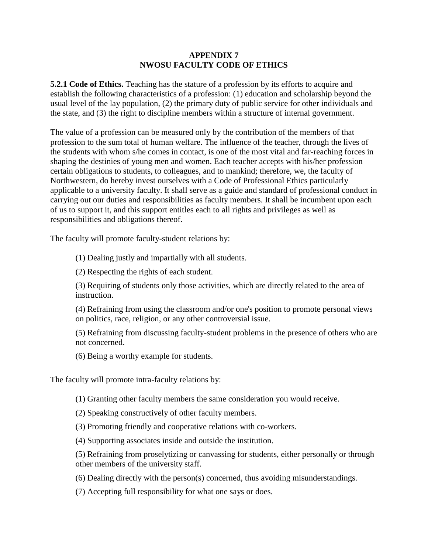## **APPENDIX 7 NWOSU FACULTY CODE OF ETHICS**

**5.2.1 Code of Ethics.** Teaching has the stature of a profession by its efforts to acquire and establish the following characteristics of a profession: (1) education and scholarship beyond the usual level of the lay population, (2) the primary duty of public service for other individuals and the state, and (3) the right to discipline members within a structure of internal government.

The value of a profession can be measured only by the contribution of the members of that profession to the sum total of human welfare. The influence of the teacher, through the lives of the students with whom s/he comes in contact, is one of the most vital and far-reaching forces in shaping the destinies of young men and women. Each teacher accepts with his/her profession certain obligations to students, to colleagues, and to mankind; therefore, we, the faculty of Northwestern, do hereby invest ourselves with a Code of Professional Ethics particularly applicable to a university faculty. It shall serve as a guide and standard of professional conduct in carrying out our duties and responsibilities as faculty members. It shall be incumbent upon each of us to support it, and this support entitles each to all rights and privileges as well as responsibilities and obligations thereof.

The faculty will promote faculty-student relations by:

(1) Dealing justly and impartially with all students.

(2) Respecting the rights of each student.

(3) Requiring of students only those activities, which are directly related to the area of instruction.

(4) Refraining from using the classroom and/or one's position to promote personal views on politics, race, religion, or any other controversial issue.

(5) Refraining from discussing faculty-student problems in the presence of others who are not concerned.

(6) Being a worthy example for students.

The faculty will promote intra-faculty relations by:

(1) Granting other faculty members the same consideration you would receive.

(2) Speaking constructively of other faculty members.

(3) Promoting friendly and cooperative relations with co-workers.

(4) Supporting associates inside and outside the institution.

(5) Refraining from proselytizing or canvassing for students, either personally or through other members of the university staff.

(6) Dealing directly with the person(s) concerned, thus avoiding misunderstandings.

(7) Accepting full responsibility for what one says or does.